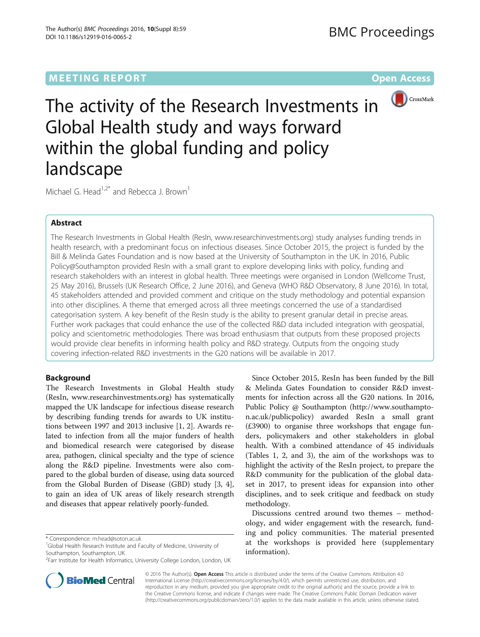# MEETING REPORT AND RESERVE THE SERVE AND THE SERVE ASSESSED AND RESERVE ASSESSED AND RESERVE ASSESSED AND RESERVE AND RESERVE ASSESSED AND RESERVE ASSESSED AND RESERVE ASSESSED AND RESERVE ASSESSED AND RESERVE ASSESSED AND



The activity of the Research Investments in Global Health study and ways forward within the global funding and policy landscape

Michael G. Head<sup>1,2\*</sup> and Rebecca J. Brown<sup>1</sup>

# Abstract

The Research Investments in Global Health (ResIn, [www.researchinvestments.org\)](http://dx.doi.org/10.1016/S0140-6736(15)60692-4) study analyses funding trends in health research, with a predominant focus on infectious diseases. Since October 2015, the project is funded by the Bill & Melinda Gates Foundation and is now based at the University of Southampton in the UK. In 2016, Public Policy@Southampton provided ResIn with a small grant to explore developing links with policy, funding and research stakeholders with an interest in global health. Three meetings were organised in London (Wellcome Trust, 25 May 2016), Brussels (UK Research Office, 2 June 2016), and Geneva (WHO R&D Observatory, 8 June 2016). In total, 45 stakeholders attended and provided comment and critique on the study methodology and potential expansion into other disciplines. A theme that emerged across all three meetings concerned the use of a standardised categorisation system. A key benefit of the ResIn study is the ability to present granular detail in precise areas. Further work packages that could enhance the use of the collected R&D data included integration with geospatial, policy and scientometric methodologies. There was broad enthusiasm that outputs from these proposed projects would provide clear benefits in informing health policy and R&D strategy. Outputs from the ongoing study covering infection-related R&D investments in the G20 nations will be available in 2017.

# Background

The Research Investments in Global Health study (ResIn, [www.researchinvestments.org\)](http://dx.doi.org/10.1016/S0140-6736(15)61340-X) has systematically mapped the UK landscape for infectious disease research by describing funding trends for awards to UK institutions between 1997 and 2013 inclusive [[1, 2\]](#page-2-0). Awards related to infection from all the major funders of health and biomedical research were categorised by disease area, pathogen, clinical specialty and the type of science along the R&D pipeline. Investments were also compared to the global burden of disease, using data sourced from the Global Burden of Disease (GBD) study [\[3](#page-2-0), [4](#page-2-0)], to gain an idea of UK areas of likely research strength and diseases that appear relatively poorly-funded.

<sup>1</sup>Global Health Research Institute and Faculty of Medicine, University of Southampton, Southampton, UK



Discussions centred around two themes – methodology, and wider engagement with the research, funding and policy communities. The material presented at the workshops is provided here (supplementary information).



© 2016 The Author(s). Open Access This article is distributed under the terms of the Creative Commons Attribution 4.0 International License [\(http://creativecommons.org/licenses/by/4.0/](http://creativecommons.org/licenses/by/4.0/)), which permits unrestricted use, distribution, and reproduction in any medium, provided you give appropriate credit to the original author(s) and the source, provide a link to the Creative Commons license, and indicate if changes were made. The Creative Commons Public Domain Dedication waiver [\(http://creativecommons.org/publicdomain/zero/1.0/](http://creativecommons.org/publicdomain/zero/1.0/)) applies to the data made available in this article, unless otherwise stated.

<sup>\*</sup> Correspondence: [m.head@soton.ac.uk](mailto:m.head@soton.ac.uk) <sup>1</sup>

<sup>&</sup>lt;sup>2</sup>Farr Institute for Health Informatics, University College London, London, UK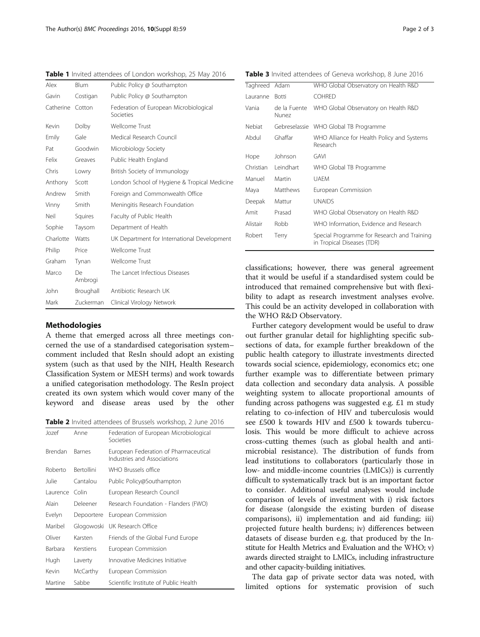| Alex      | <b>Blum</b>   | Public Policy @ Southampton                         |
|-----------|---------------|-----------------------------------------------------|
| Gavin     | Costigan      | Public Policy @ Southampton                         |
| Catherine | Cotton        | Federation of European Microbiological<br>Societies |
| Kevin     | Dolby         | Wellcome Trust                                      |
| Emily     | Gale          | Medical Research Council                            |
| Pat       | Goodwin       | Microbiology Society                                |
| Felix     | Greaves       | Public Health England                               |
| Chris     | Lowry         | British Society of Immunology                       |
| Anthony   | Scott         | London School of Hygiene & Tropical Medicine        |
| Andrew    | Smith         | Foreign and Commonwealth Office                     |
| Vinny     | Smith         | Meningitis Research Foundation                      |
| Neil      | Squires       | Faculty of Public Health                            |
| Sophie    | Taysom        | Department of Health                                |
| Charlotte | Watts         | UK Department for International Development         |
| Philip    | Price         | Wellcome Trust                                      |
| Graham    | Tynan         | Wellcome Trust                                      |
| Marco     | Dе<br>Ambrogi | The Lancet Infectious Diseases                      |
| John      | Broughall     | Antibiotic Research UK                              |
| Mark      | Zuckerman     | Clinical Virology Network                           |

<span id="page-1-0"></span>Table 1 Invited attendees of London workshop, 25 May 2016

### Methodologies

A theme that emerged across all three meetings concerned the use of a standardised categorisation system– comment included that ResIn should adopt an existing system (such as that used by the NIH, Health Research Classification System or MESH terms) and work towards a unified categorisation methodology. The ResIn project created its own system which would cover many of the keyword and disease areas used by the other

Table 2 Invited attendees of Brussels workshop, 2 June 2016

| Jozef    | Anne              | Federation of European Microbiological<br>Societies                  |
|----------|-------------------|----------------------------------------------------------------------|
| Brendan  | <b>Barnes</b>     | European Federation of Pharmaceutical<br>Industries and Associations |
| Roberto  | <b>Bertollini</b> | WHO Brussels office                                                  |
| Julie    | Cantalou          | Public Policy@Southampton                                            |
| Laurence | Colin             | European Research Council                                            |
| Alain    | Deleener          | Research Foundation - Flanders (FWO)                                 |
| Evelyn   | Depoortere        | European Commission                                                  |
| Maribel  | Glogowoski        | UK Research Office                                                   |
| Oliver   | Karsten           | Friends of the Global Fund Europe                                    |
| Barbara  | Kerstiens         | European Commission                                                  |
| Hugh     | Laverty           | Innovative Medicines Initiative                                      |
| Kevin    | McCarthy          | European Commission                                                  |
| Martine  | Sabbe             | Scientific Institute of Public Health                                |

Table 3 Invited attendees of Geneva workshop, 8 June 2016

| Taghreed Adam |                       | WHO Global Observatory on Health R&D                                      |
|---------------|-----------------------|---------------------------------------------------------------------------|
| Lauranne      | <b>Botti</b>          | <b>COHRED</b>                                                             |
| Vania         | de la Fuente<br>Nunez | WHO Global Observatory on Health R&D                                      |
| Nebiat        |                       | Gebreselassie WHO Global TB Programme                                     |
| Abdul         | Ghaffar               | WHO Alliance for Health Policy and Systems<br>Research                    |
| Hope          | Johnson               | GAVI                                                                      |
| Christian     | Leindhart             | WHO Global TB Programme                                                   |
| Manuel        | Martin                | <b>UAFM</b>                                                               |
| Maya          | Matthews              | European Commission                                                       |
| Deepak        | Mattur                | <b>UNAIDS</b>                                                             |
| Amit          | Prasad                | WHO Global Observatory on Health R&D                                      |
| Alistair      | Robb                  | WHO Information, Evidence and Research                                    |
| Robert        | Terry                 | Special Programme for Research and Training<br>in Tropical Diseases (TDR) |
|               |                       |                                                                           |

classifications; however, there was general agreement that it would be useful if a standardised system could be introduced that remained comprehensive but with flexibility to adapt as research investment analyses evolve. This could be an activity developed in collaboration with the WHO R&D Observatory.

Further category development would be useful to draw out further granular detail for highlighting specific subsections of data, for example further breakdown of the public health category to illustrate investments directed towards social science, epidemiology, economics etc; one further example was to differentiate between primary data collection and secondary data analysis. A possible weighting system to allocate proportional amounts of funding across pathogens was suggested e.g. £1 m study relating to co-infection of HIV and tuberculosis would see £500 k towards HIV and £500 k towards tuberculosis. This would be more difficult to achieve across cross-cutting themes (such as global health and antimicrobial resistance). The distribution of funds from lead institutions to collaborators (particularly those in low- and middle-income countries (LMICs)) is currently difficult to systematically track but is an important factor to consider. Additional useful analyses would include comparison of levels of investment with i) risk factors for disease (alongside the existing burden of disease comparisons), ii) implementation and aid funding; iii) projected future health burdens; iv) differences between datasets of disease burden e.g. that produced by the Institute for Health Metrics and Evaluation and the WHO; v) awards directed straight to LMICs, including infrastructure and other capacity-building initiatives.

The data gap of private sector data was noted, with limited options for systematic provision of such